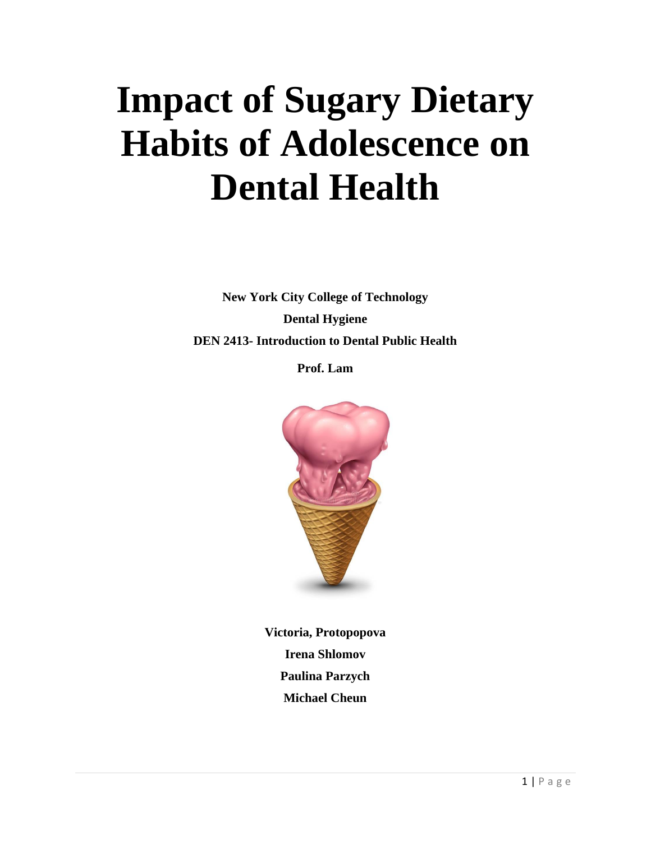# **Impact of Sugary Dietary Habits of Adolescence on Dental Health**

**New York City College of Technology Dental Hygiene DEN 2413- Introduction to Dental Public Health**

**Prof. Lam**



**Victoria, Protopopova Irena Shlomov Paulina Parzych Michael Cheun**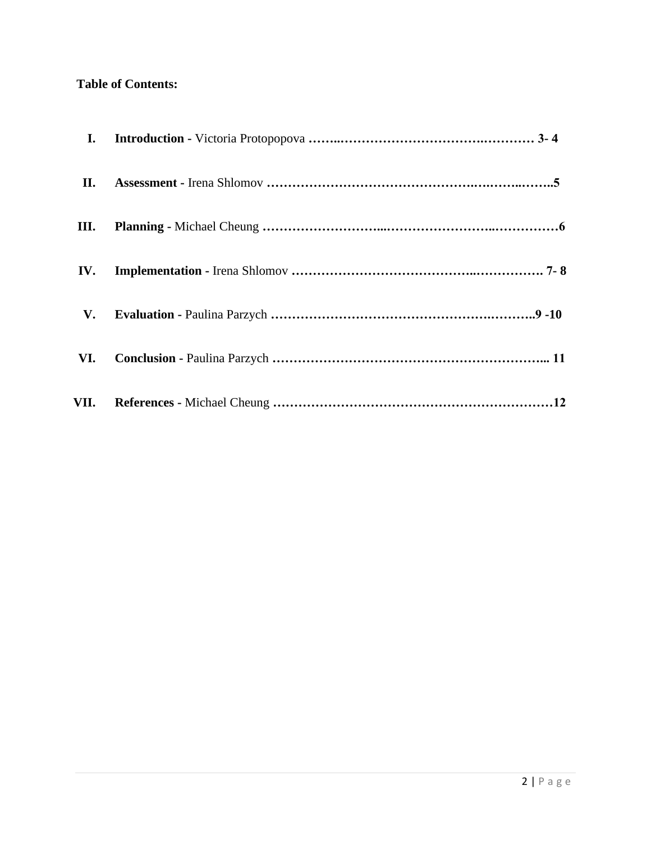## **Table of Contents:**

| I.   |  |
|------|--|
| П.   |  |
| Ш.   |  |
| IV.  |  |
| V.   |  |
| VI.  |  |
| VII. |  |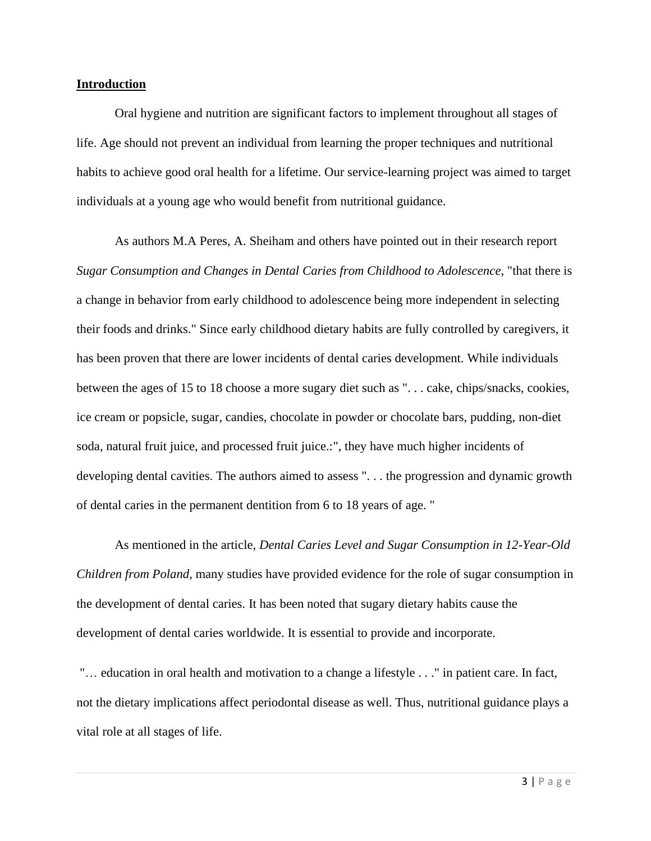#### **Introduction**

Oral hygiene and nutrition are significant factors to implement throughout all stages of life. Age should not prevent an individual from learning the proper techniques and nutritional habits to achieve good oral health for a lifetime. Our service-learning project was aimed to target individuals at a young age who would benefit from nutritional guidance.

As authors M.A Peres, A. Sheiham and others have pointed out in their research report *Sugar Consumption and Changes in Dental Caries from Childhood to Adolescence*, "that there is a change in behavior from early childhood to adolescence being more independent in selecting their foods and drinks." Since early childhood dietary habits are fully controlled by caregivers, it has been proven that there are lower incidents of dental caries development. While individuals between the ages of 15 to 18 choose a more sugary diet such as ". . . cake, chips/snacks, cookies, ice cream or popsicle, sugar, candies, chocolate in powder or chocolate bars, pudding, non-diet soda, natural fruit juice, and processed fruit juice.:", they have much higher incidents of developing dental cavities. The authors aimed to assess ". . . the progression and dynamic growth of dental caries in the permanent dentition from 6 to 18 years of age. "

As mentioned in the article, *Dental Caries Level and Sugar Consumption in 12-Year-Old Children from Poland,* many studies have provided evidence for the role of sugar consumption in the development of dental caries. It has been noted that sugary dietary habits cause the development of dental caries worldwide. It is essential to provide and incorporate.

"… education in oral health and motivation to a change a lifestyle . . ." in patient care. In fact, not the dietary implications affect periodontal disease as well. Thus, nutritional guidance plays a vital role at all stages of life.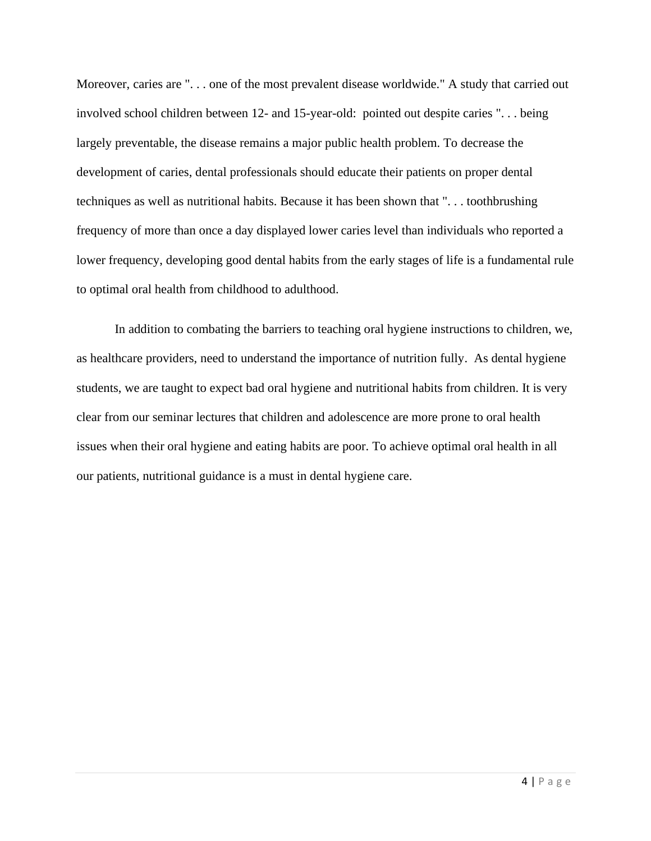Moreover, caries are ". . . one of the most prevalent disease worldwide." A study that carried out involved school children between 12- and 15-year-old: pointed out despite caries ". . . being largely preventable, the disease remains a major public health problem. To decrease the development of caries, dental professionals should educate their patients on proper dental techniques as well as nutritional habits. Because it has been shown that ". . . toothbrushing frequency of more than once a day displayed lower caries level than individuals who reported a lower frequency, developing good dental habits from the early stages of life is a fundamental rule to optimal oral health from childhood to adulthood.

In addition to combating the barriers to teaching oral hygiene instructions to children, we, as healthcare providers, need to understand the importance of nutrition fully. As dental hygiene students, we are taught to expect bad oral hygiene and nutritional habits from children. It is very clear from our seminar lectures that children and adolescence are more prone to oral health issues when their oral hygiene and eating habits are poor. To achieve optimal oral health in all our patients, nutritional guidance is a must in dental hygiene care.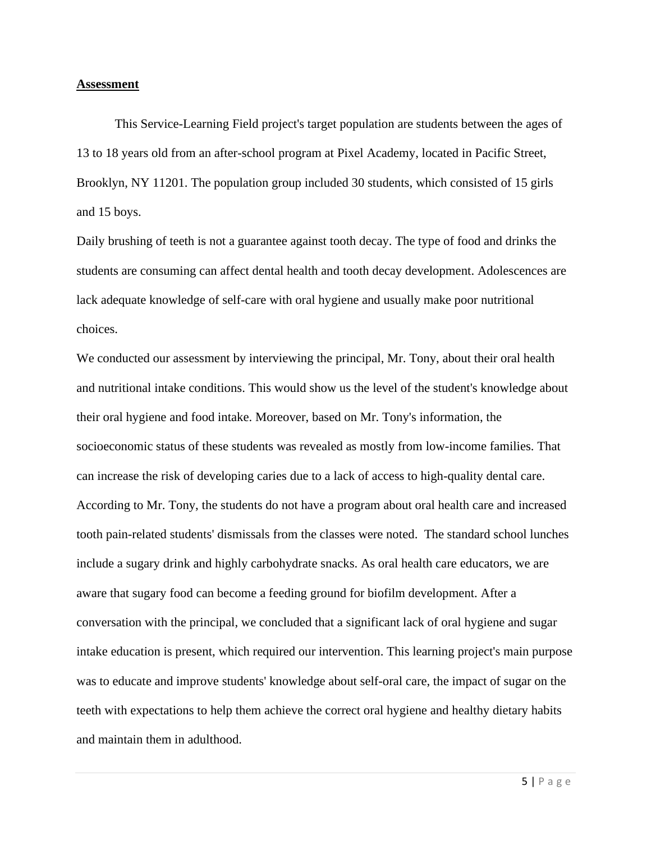#### **Assessment**

This Service-Learning Field project's target population are students between the ages of 13 to 18 years old from an after-school program at Pixel Academy, located in Pacific Street, Brooklyn, NY 11201. The population group included 30 students, which consisted of 15 girls and 15 boys.

Daily brushing of teeth is not a guarantee against tooth decay. The type of food and drinks the students are consuming can affect dental health and tooth decay development. Adolescences are lack adequate knowledge of self-care with oral hygiene and usually make poor nutritional choices.

We conducted our assessment by interviewing the principal, Mr. Tony, about their oral health and nutritional intake conditions. This would show us the level of the student's knowledge about their oral hygiene and food intake. Moreover, based on Mr. Tony's information, the socioeconomic status of these students was revealed as mostly from low-income families. That can increase the risk of developing caries due to a lack of access to high-quality dental care. According to Mr. Tony, the students do not have a program about oral health care and increased tooth pain-related students' dismissals from the classes were noted. The standard school lunches include a sugary drink and highly carbohydrate snacks. As oral health care educators, we are aware that sugary food can become a feeding ground for biofilm development. After a conversation with the principal, we concluded that a significant lack of oral hygiene and sugar intake education is present, which required our intervention. This learning project's main purpose was to educate and improve students' knowledge about self-oral care, the impact of sugar on the teeth with expectations to help them achieve the correct oral hygiene and healthy dietary habits and maintain them in adulthood.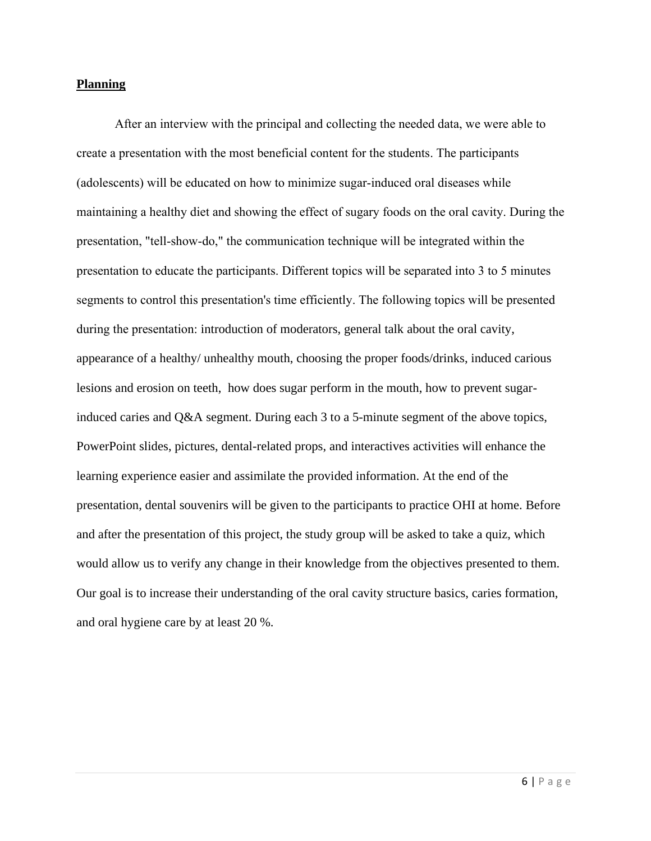#### **Planning**

After an interview with the principal and collecting the needed data, we were able to create a presentation with the most beneficial content for the students. The participants (adolescents) will be educated on how to minimize sugar-induced oral diseases while maintaining a healthy diet and showing the effect of sugary foods on the oral cavity. During the presentation, "tell-show-do," the communication technique will be integrated within the presentation to educate the participants. Different topics will be separated into 3 to 5 minutes segments to control this presentation's time efficiently. The following topics will be presented during the presentation: introduction of moderators, general talk about the oral cavity, appearance of a healthy/ unhealthy mouth, choosing the proper foods/drinks, induced carious lesions and erosion on teeth, how does sugar perform in the mouth, how to prevent sugarinduced caries and Q&A segment. During each 3 to a 5-minute segment of the above topics, PowerPoint slides, pictures, dental-related props, and interactives activities will enhance the learning experience easier and assimilate the provided information. At the end of the presentation, dental souvenirs will be given to the participants to practice OHI at home. Before and after the presentation of this project, the study group will be asked to take a quiz, which would allow us to verify any change in their knowledge from the objectives presented to them. Our goal is to increase their understanding of the oral cavity structure basics, caries formation, and oral hygiene care by at least 20 %.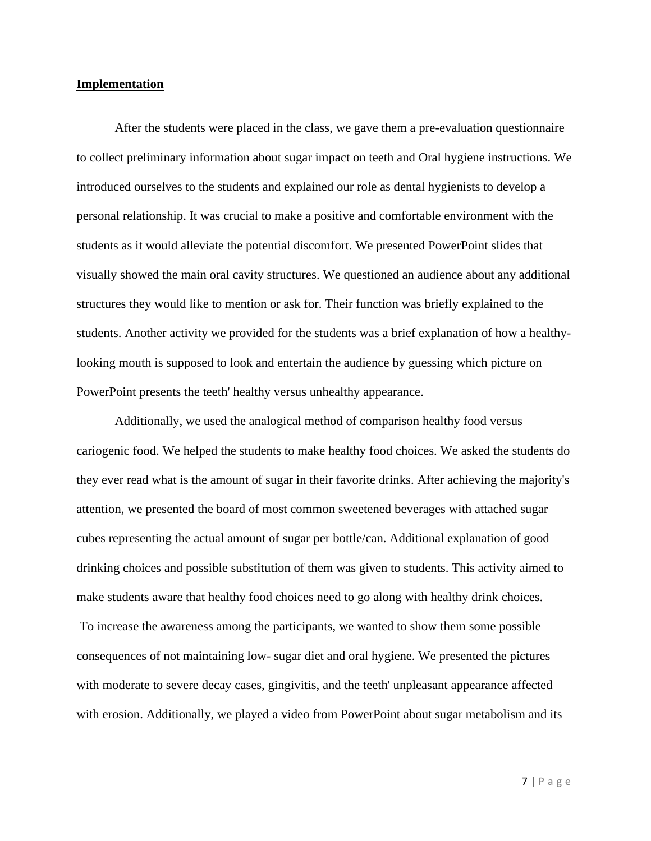#### **Implementation**

After the students were placed in the class, we gave them a pre-evaluation questionnaire to collect preliminary information about sugar impact on teeth and Oral hygiene instructions. We introduced ourselves to the students and explained our role as dental hygienists to develop a personal relationship. It was crucial to make a positive and comfortable environment with the students as it would alleviate the potential discomfort. We presented PowerPoint slides that visually showed the main oral cavity structures. We questioned an audience about any additional structures they would like to mention or ask for. Their function was briefly explained to the students. Another activity we provided for the students was a brief explanation of how a healthylooking mouth is supposed to look and entertain the audience by guessing which picture on PowerPoint presents the teeth' healthy versus unhealthy appearance.

Additionally, we used the analogical method of comparison healthy food versus cariogenic food. We helped the students to make healthy food choices. We asked the students do they ever read what is the amount of sugar in their favorite drinks. After achieving the majority's attention, we presented the board of most common sweetened beverages with attached sugar cubes representing the actual amount of sugar per bottle/can. Additional explanation of good drinking choices and possible substitution of them was given to students. This activity aimed to make students aware that healthy food choices need to go along with healthy drink choices. To increase the awareness among the participants, we wanted to show them some possible consequences of not maintaining low- sugar diet and oral hygiene. We presented the pictures with moderate to severe decay cases, gingivitis, and the teeth' unpleasant appearance affected with erosion. Additionally, we played a video from PowerPoint about sugar metabolism and its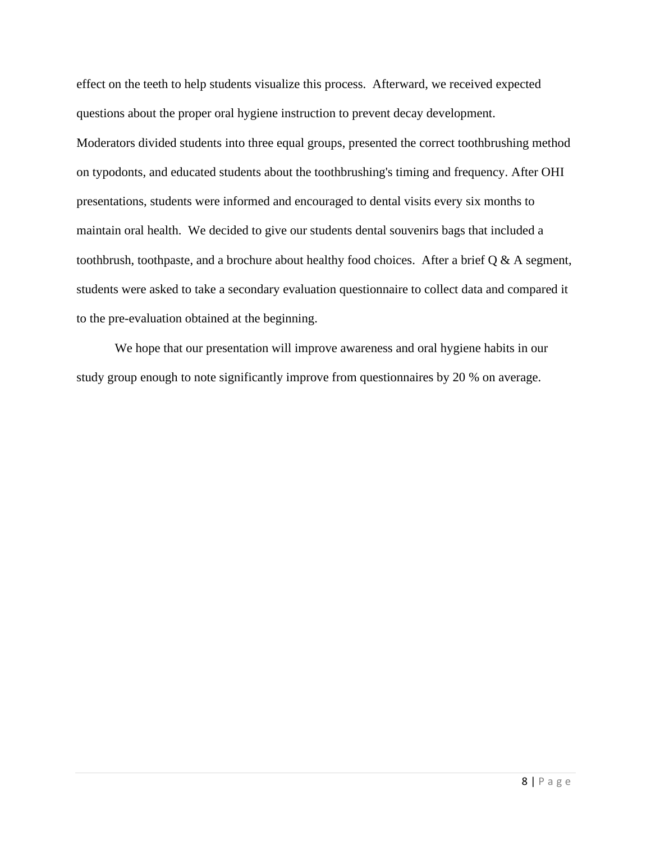effect on the teeth to help students visualize this process. Afterward, we received expected questions about the proper oral hygiene instruction to prevent decay development. Moderators divided students into three equal groups, presented the correct toothbrushing method on typodonts, and educated students about the toothbrushing's timing and frequency. After OHI presentations, students were informed and encouraged to dental visits every six months to maintain oral health. We decided to give our students dental souvenirs bags that included a toothbrush, toothpaste, and a brochure about healthy food choices. After a brief  $Q & A$  segment, students were asked to take a secondary evaluation questionnaire to collect data and compared it to the pre-evaluation obtained at the beginning.

We hope that our presentation will improve awareness and oral hygiene habits in our study group enough to note significantly improve from questionnaires by 20 % on average.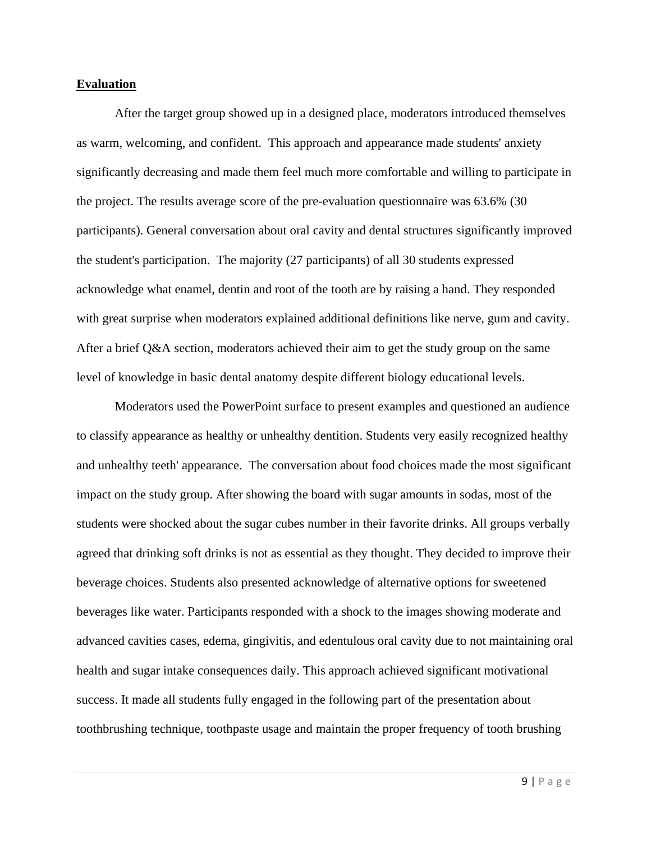#### **Evaluation**

After the target group showed up in a designed place, moderators introduced themselves as warm, welcoming, and confident. This approach and appearance made students' anxiety significantly decreasing and made them feel much more comfortable and willing to participate in the project. The results average score of the pre-evaluation questionnaire was 63.6% (30 participants). General conversation about oral cavity and dental structures significantly improved the student's participation. The majority (27 participants) of all 30 students expressed acknowledge what enamel, dentin and root of the tooth are by raising a hand. They responded with great surprise when moderators explained additional definitions like nerve, gum and cavity. After a brief Q&A section, moderators achieved their aim to get the study group on the same level of knowledge in basic dental anatomy despite different biology educational levels.

Moderators used the PowerPoint surface to present examples and questioned an audience to classify appearance as healthy or unhealthy dentition. Students very easily recognized healthy and unhealthy teeth' appearance. The conversation about food choices made the most significant impact on the study group. After showing the board with sugar amounts in sodas, most of the students were shocked about the sugar cubes number in their favorite drinks. All groups verbally agreed that drinking soft drinks is not as essential as they thought. They decided to improve their beverage choices. Students also presented acknowledge of alternative options for sweetened beverages like water. Participants responded with a shock to the images showing moderate and advanced cavities cases, edema, gingivitis, and edentulous oral cavity due to not maintaining oral health and sugar intake consequences daily. This approach achieved significant motivational success. It made all students fully engaged in the following part of the presentation about toothbrushing technique, toothpaste usage and maintain the proper frequency of tooth brushing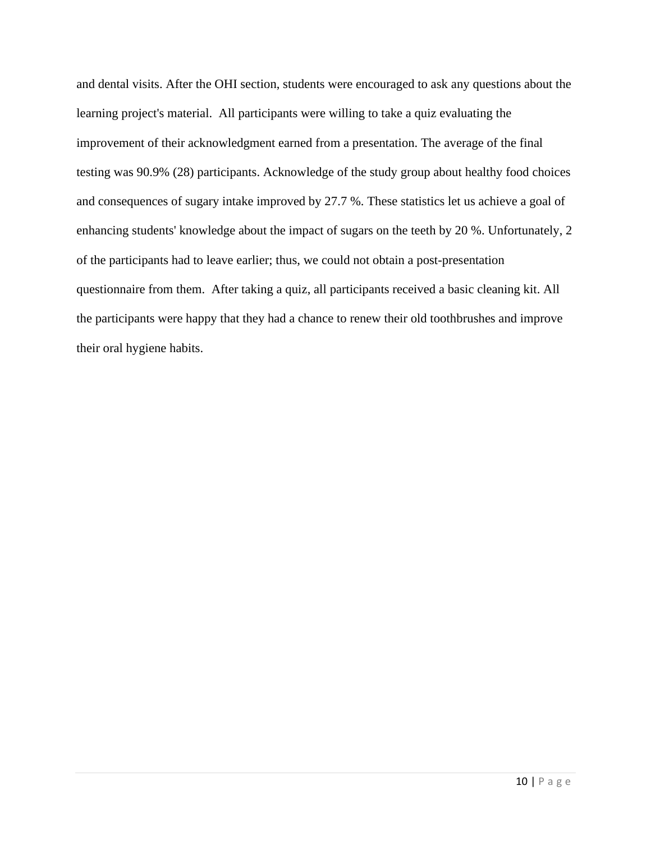and dental visits. After the OHI section, students were encouraged to ask any questions about the learning project's material. All participants were willing to take a quiz evaluating the improvement of their acknowledgment earned from a presentation. The average of the final testing was 90.9% (28) participants. Acknowledge of the study group about healthy food choices and consequences of sugary intake improved by 27.7 %. These statistics let us achieve a goal of enhancing students' knowledge about the impact of sugars on the teeth by 20 %. Unfortunately, 2 of the participants had to leave earlier; thus, we could not obtain a post-presentation questionnaire from them. After taking a quiz, all participants received a basic cleaning kit. All the participants were happy that they had a chance to renew their old toothbrushes and improve their oral hygiene habits.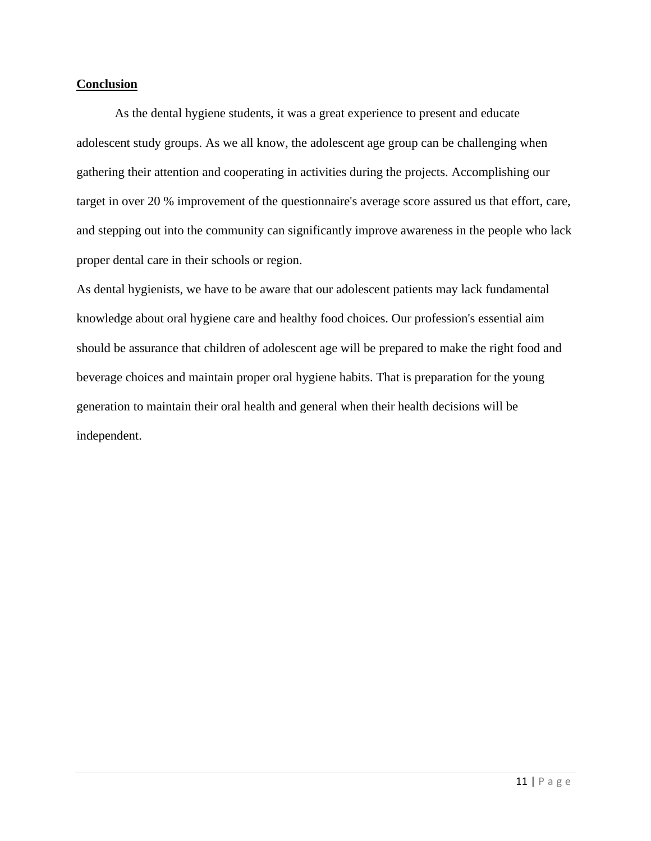#### **Conclusion**

As the dental hygiene students, it was a great experience to present and educate adolescent study groups. As we all know, the adolescent age group can be challenging when gathering their attention and cooperating in activities during the projects. Accomplishing our target in over 20 % improvement of the questionnaire's average score assured us that effort, care, and stepping out into the community can significantly improve awareness in the people who lack proper dental care in their schools or region.

As dental hygienists, we have to be aware that our adolescent patients may lack fundamental knowledge about oral hygiene care and healthy food choices. Our profession's essential aim should be assurance that children of adolescent age will be prepared to make the right food and beverage choices and maintain proper oral hygiene habits. That is preparation for the young generation to maintain their oral health and general when their health decisions will be independent.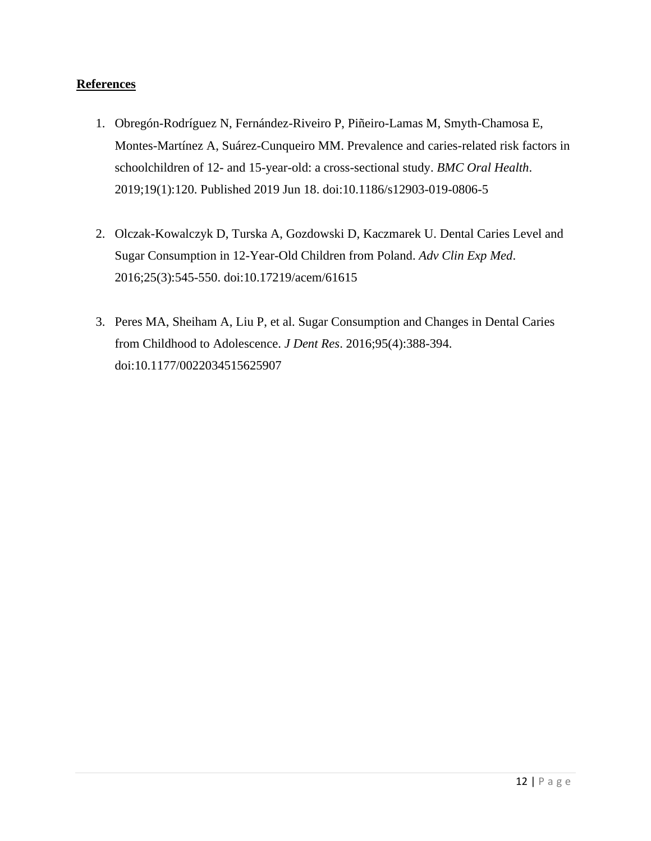### **References**

- 1. Obregón-Rodríguez N, Fernández-Riveiro P, Piñeiro-Lamas M, Smyth-Chamosa E, Montes-Martínez A, Suárez-Cunqueiro MM. Prevalence and caries-related risk factors in schoolchildren of 12- and 15-year-old: a cross-sectional study. *BMC Oral Health*. 2019;19(1):120. Published 2019 Jun 18. doi:10.1186/s12903-019-0806-5
- 2. Olczak-Kowalczyk D, Turska A, Gozdowski D, Kaczmarek U. Dental Caries Level and Sugar Consumption in 12-Year-Old Children from Poland. *Adv Clin Exp Med*. 2016;25(3):545-550. doi:10.17219/acem/61615
- 3. Peres MA, Sheiham A, Liu P, et al. Sugar Consumption and Changes in Dental Caries from Childhood to Adolescence. *J Dent Res*. 2016;95(4):388-394. doi:10.1177/0022034515625907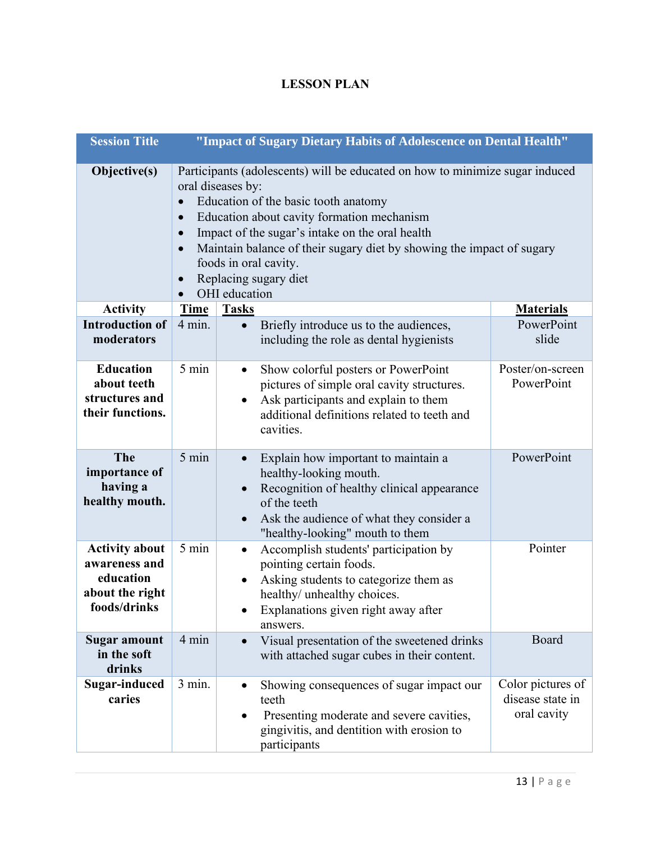## **LESSON PLAN**

| <b>Session Title</b><br>"Impact of Sugary Dietary Habits of Adolescence on Dental Health" |                                                                                                                                                                                                                                                                                                                                                                                                                                                         |                                                                                                                                                                                                                                      |                                                      |  |  |
|-------------------------------------------------------------------------------------------|---------------------------------------------------------------------------------------------------------------------------------------------------------------------------------------------------------------------------------------------------------------------------------------------------------------------------------------------------------------------------------------------------------------------------------------------------------|--------------------------------------------------------------------------------------------------------------------------------------------------------------------------------------------------------------------------------------|------------------------------------------------------|--|--|
| Objective(s)                                                                              | Participants (adolescents) will be educated on how to minimize sugar induced<br>oral diseases by:<br>Education of the basic tooth anatomy<br>$\bullet$<br>Education about cavity formation mechanism<br>$\bullet$<br>Impact of the sugar's intake on the oral health<br>$\bullet$<br>Maintain balance of their sugary diet by showing the impact of sugary<br>$\bullet$<br>foods in oral cavity.<br>Replacing sugary diet<br>$\bullet$<br>OHI education |                                                                                                                                                                                                                                      |                                                      |  |  |
| <b>Activity</b>                                                                           | <b>Time</b>                                                                                                                                                                                                                                                                                                                                                                                                                                             | <b>Tasks</b>                                                                                                                                                                                                                         | <b>Materials</b>                                     |  |  |
| <b>Introduction of</b><br>moderators                                                      | $4 \text{ min.}$                                                                                                                                                                                                                                                                                                                                                                                                                                        | Briefly introduce us to the audiences,<br>$\bullet$<br>including the role as dental hygienists                                                                                                                                       | PowerPoint<br>slide                                  |  |  |
| <b>Education</b><br>about teeth<br>structures and<br>their functions.                     | 5 min                                                                                                                                                                                                                                                                                                                                                                                                                                                   | Show colorful posters or PowerPoint<br>$\bullet$<br>pictures of simple oral cavity structures.<br>Ask participants and explain to them<br>$\bullet$<br>additional definitions related to teeth and<br>cavities.                      | Poster/on-screen<br>PowerPoint                       |  |  |
| The<br>importance of<br>having a<br>healthy mouth.                                        | 5 min                                                                                                                                                                                                                                                                                                                                                                                                                                                   | Explain how important to maintain a<br>$\bullet$<br>healthy-looking mouth.<br>Recognition of healthy clinical appearance<br>of the teeth<br>Ask the audience of what they consider a<br>$\bullet$<br>"healthy-looking" mouth to them | PowerPoint                                           |  |  |
| <b>Activity about</b><br>awareness and<br>education<br>about the right<br>foods/drinks    | 5 min                                                                                                                                                                                                                                                                                                                                                                                                                                                   | Accomplish students' participation by<br>$\bullet$<br>pointing certain foods.<br>Asking students to categorize them as<br>healthy/ unhealthy choices.<br>Explanations given right away after<br>answers.                             | Pointer                                              |  |  |
| <b>Sugar amount</b><br>in the soft<br>drinks                                              | 4 min                                                                                                                                                                                                                                                                                                                                                                                                                                                   | Visual presentation of the sweetened drinks<br>$\bullet$<br>with attached sugar cubes in their content.                                                                                                                              | Board                                                |  |  |
| <b>Sugar-induced</b><br>caries                                                            | 3 min.                                                                                                                                                                                                                                                                                                                                                                                                                                                  | Showing consequences of sugar impact our<br>٠<br>teeth<br>Presenting moderate and severe cavities,<br>$\bullet$<br>gingivitis, and dentition with erosion to<br>participants                                                         | Color pictures of<br>disease state in<br>oral cavity |  |  |